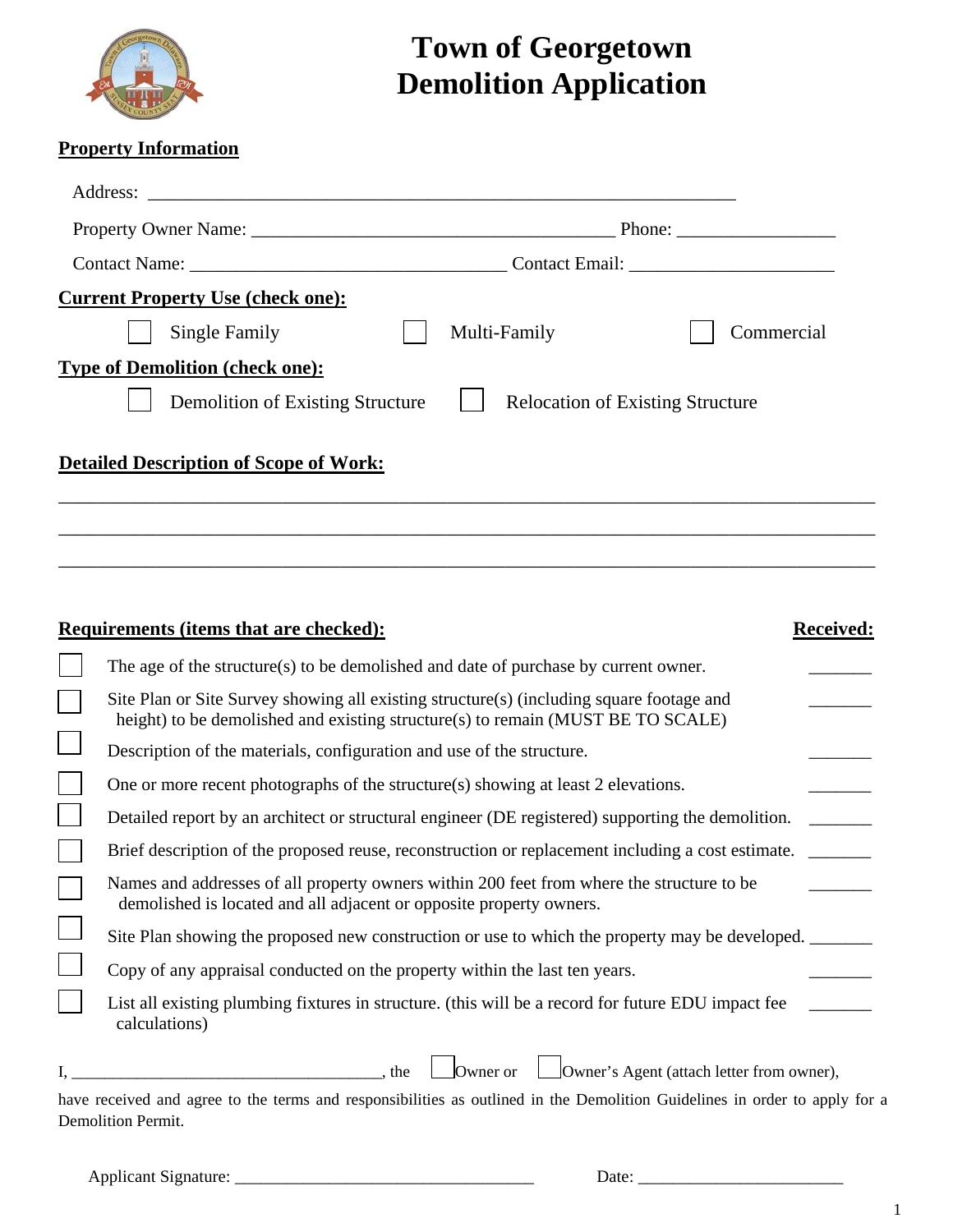

## **Town of Georgetown Demolition Application**

## **Property Information**

| <b>Current Property Use (check one):</b>      |              |                                         |  |  |  |
|-----------------------------------------------|--------------|-----------------------------------------|--|--|--|
| Single Family                                 | Multi-Family | Commercial                              |  |  |  |
| <b>Type of Demolition (check one):</b>        |              |                                         |  |  |  |
| Demolition of Existing Structure              |              | <b>Relocation of Existing Structure</b> |  |  |  |
| <b>Detailed Description of Scope of Work:</b> |              |                                         |  |  |  |
|                                               |              |                                         |  |  |  |

| <b>Received:</b><br>Requirements (items that are checked):                                                                                                                  |  |
|-----------------------------------------------------------------------------------------------------------------------------------------------------------------------------|--|
| The age of the structure(s) to be demolished and date of purchase by current owner.                                                                                         |  |
| Site Plan or Site Survey showing all existing structure(s) (including square footage and<br>height) to be demolished and existing structure(s) to remain (MUST BE TO SCALE) |  |
| Description of the materials, configuration and use of the structure.                                                                                                       |  |
| One or more recent photographs of the structure(s) showing at least 2 elevations.                                                                                           |  |
| Detailed report by an architect or structural engineer (DE registered) supporting the demolition.                                                                           |  |
| Brief description of the proposed reuse, reconstruction or replacement including a cost estimate.                                                                           |  |
| Names and addresses of all property owners within 200 feet from where the structure to be<br>demolished is located and all adjacent or opposite property owners.            |  |
| Site Plan showing the proposed new construction or use to which the property may be developed.                                                                              |  |
| Copy of any appraisal conducted on the property within the last ten years.                                                                                                  |  |
| List all existing plumbing fixtures in structure. (this will be a record for future EDU impact fee<br>calculations)                                                         |  |
| Owner or<br>Owner's Agent (attach letter from owner),<br>the                                                                                                                |  |
| have received and agree to the terms and responsibilities as outlined in the Demolition Guidelines in order to apply for a                                                  |  |
| Demolition Permit.                                                                                                                                                          |  |

Applicant Signature: \_\_\_\_\_\_\_\_\_\_\_\_\_\_\_\_\_\_\_\_\_\_\_\_\_\_\_\_\_\_\_\_\_\_\_ Date: \_\_\_\_\_\_\_\_\_\_\_\_\_\_\_\_\_\_\_\_\_\_\_\_